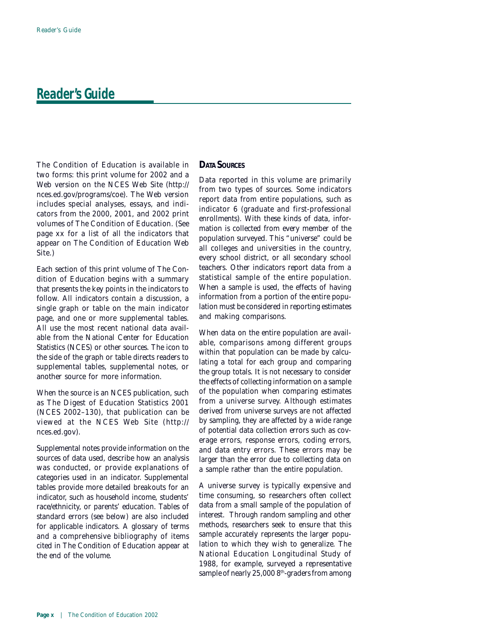*The Condition of Education* is available in two forms: this print volume for 2002 and a Web version on the NCES Web Site (*http:// nces.ed.gov/programs/coe*). The Web version includes special analyses, essays, and indicators from the 2000, 2001, and 2002 print volumes of *The Condition of Education*. (See page xx for a list of all the indicators that appear on *The Condition of Education* Web Site.)

Each section of this print volume of *The Condition of Education* begins with a summary that presents the key points in the indicators to follow. All indicators contain a discussion, a single graph or table on the main indicator page, and one or more supplemental tables. All use the most recent national data available from the National Center for Education Statistics (NCES) or other sources. The icon to the side of the graph or table directs readers to supplemental tables, supplemental notes, or another source for more information.

When the source is an NCES publication, such as *The Digest of Education Statistics 2001* (NCES 2002–130), that publication can be viewed at the NCES Web Site (*http:// nces.ed.gov)*.

Supplemental notes provide information on the sources of data used, describe how an analysis was conducted, or provide explanations of categories used in an indicator. Supplemental tables provide more detailed breakouts for an indicator, such as household income, students' race/ethnicity, or parents' education. Tables of standard errors (see below) are also included for applicable indicators. A glossary of terms and a comprehensive bibliography of items cited in *The Condition of Education* appear at the end of the volume.

## **DATA SOURCES**

Data reported in this volume are primarily from two types of sources. Some indicators report data from entire populations, such as *indicator 6* (graduate and first-professional enrollments). With these kinds of data, information is collected from every member of the population surveyed. This "universe" could be all colleges and universities in the country, every school district, or all secondary school teachers. Other indicators report data from a statistical sample of the entire population. When a sample is used, the effects of having information from a portion of the entire population must be considered in reporting estimates and making comparisons.

When data on the entire population are available, comparisons among different groups within that population can be made by calculating a total for each group and comparing the group totals. It is not necessary to consider the effects of collecting information on a sample of the population when comparing estimates from a universe survey. Although estimates derived from universe surveys are not affected by sampling, they are affected by a wide range of potential data collection errors such as coverage errors, response errors, coding errors, and data entry errors. These errors may be larger than the error due to collecting data on a sample rather than the entire population.

A universe survey is typically expensive and time consuming, so researchers often collect data from a small sample of the population of interest. Through random sampling and other methods, researchers seek to ensure that this sample accurately represents the larger population to which they wish to generalize. The National Education Longitudinal Study of 1988, for example, surveyed a representative sample of nearly 25,000 8<sup>th</sup>-graders from among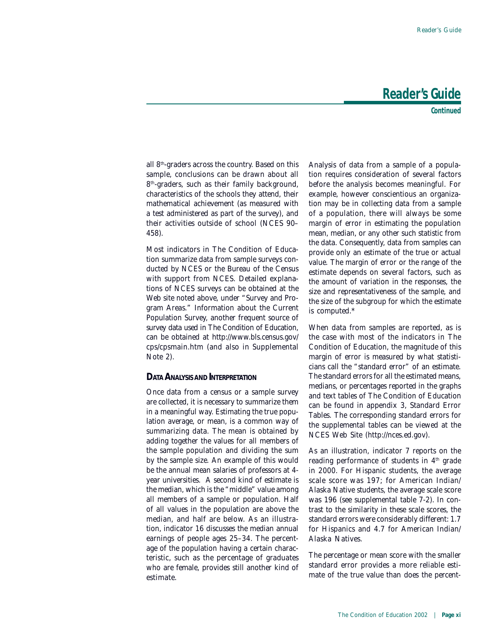**Continued**

all 8th-graders across the country. Based on this sample, conclusions can be drawn about all 8<sup>th</sup>-graders, such as their family background, characteristics of the schools they attend, their mathematical achievement (as measured with a test administered as part of the survey), and their activities outside of school (NCES 90– 458).

Most indicators in *The Condition of Education* summarize data from sample surveys conducted by NCES or the Bureau of the Census with support from NCES. Detailed explanations of NCES surveys can be obtained at the Web site noted above, under "Survey and Program Areas." Information about the Current Population Survey, another frequent source of survey data used in *The Condition of Education*, can be obtained at *http://www.bls.census.gov/ cps/cpsmain.htm* (and also in *Supplemental Note 2*).

#### **DATA ANALYSIS AND INTERPRETATION**

Once data from a census or a sample survey are collected, it is necessary to summarize them in a meaningful way. Estimating the true population average, or mean, is a common way of summarizing data. The mean is obtained by adding together the values for all members of the sample population and dividing the sum by the sample size. An example of this would be the annual mean salaries of professors at 4 year universities. A second kind of estimate is the median, which is the "middle" value among all members of a sample or population. Half of all values in the population are above the median, and half are below. As an illustration, *indicator 16* discusses the median annual earnings of people ages 25–34. The percentage of the population having a certain characteristic, such as the percentage of graduates who are female, provides still another kind of estimate.

Analysis of data from a sample of a population requires consideration of several factors before the analysis becomes meaningful. For example, however conscientious an organization may be in collecting data from a sample of a population, there will always be some margin of error in estimating the population mean, median, or any other such statistic from the data. Consequently, data from samples can provide only an estimate of the true or actual value. The margin of error or the range of the estimate depends on several factors, such as the amount of variation in the responses, the size and representativeness of the sample, and the size of the subgroup for which the estimate is computed.\*

When data from samples are reported, as is the case with most of the indicators in *The Condition of Education*, the magnitude of this margin of error is measured by what statisticians call the "standard error" of an estimate. The standard errors for all the estimated means, medians, or percentages reported in the graphs and text tables of *The Condition of Education* can be found in appendix 3, Standard Error Tables. The corresponding standard errors for the supplemental tables can be viewed at the NCES Web Site (*http://nces.ed.gov*).

As an illustration, *indicator 7* reports on the reading performance of students in  $4<sup>th</sup>$  grade in 2000. For Hispanic students, the average scale score was 197; for American Indian/ Alaska Native students, the average scale score was 196 (see supplemental table 7-2). In contrast to the similarity in these scale scores, the standard errors were considerably different: 1.7 for Hispanics and 4.7 for American Indian/ Alaska Natives.

The percentage or mean score with the smaller standard error provides a more reliable estimate of the true value than does the percent-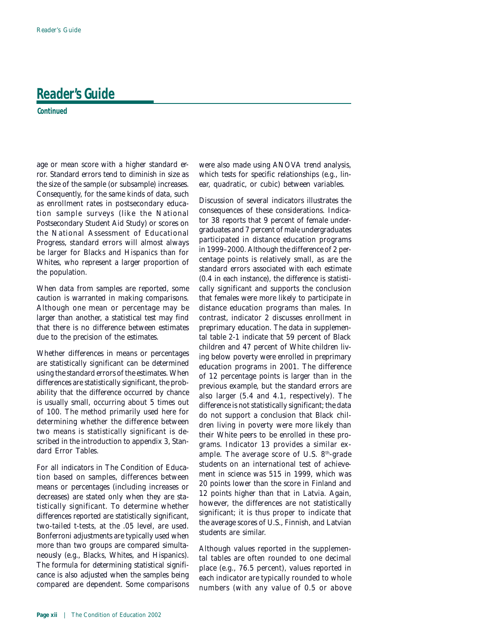**Continued**

age or mean score with a higher standard error. Standard errors tend to diminish in size as the size of the sample (or subsample) increases. Consequently, for the same kinds of data, such as enrollment rates in postsecondary education sample surveys (like the National Postsecondary Student Aid Study) or scores on the National Assessment of Educational Progress, standard errors will almost always be larger for Blacks and Hispanics than for Whites, who represent a larger proportion of the population.

When data from samples are reported, some caution is warranted in making comparisons. Although one mean or percentage may be larger than another, a statistical test may find that there is no difference between estimates due to the precision of the estimates.

Whether differences in means or percentages are statistically significant can be determined using the standard errors of the estimates. When differences are statistically significant, the probability that the difference occurred by chance is usually small, occurring about 5 times out of 100. The method primarily used here for determining whether the difference between two means is statistically significant is described in the introduction to appendix 3, Standard Error Tables.

For all indicators in *The Condition of Education* based on samples, differences between means or percentages (including increases or decreases) are stated only when they are statistically significant. To determine whether differences reported are statistically significant, two-tailed *t*-tests, at the .05 level, are used. Bonferroni adjustments are typically used when more than two groups are compared simultaneously (e.g., Blacks, Whites, and Hispanics). The formula for determining statistical significance is also adjusted when the samples being compared are dependent. Some comparisons were also made using ANOVA trend analysis, which tests for specific relationships (e.g., linear, quadratic, or cubic) between variables.

Discussion of several indicators illustrates the consequences of these considerations. *Indicator 38* reports that 9 percent of female undergraduates and 7 percent of male undergraduates participated in distance education programs in 1999–2000. Although the difference of 2 percentage points is relatively small, as are the standard errors associated with each estimate (0.4 in each instance), the difference is statistically significant and supports the conclusion that females were more likely to participate in distance education programs than males. In contrast, *indicator 2* discusses enrollment in preprimary education. The data in supplemental table 2-1 indicate that 59 percent of Black children and 47 percent of White children living below poverty were enrolled in preprimary education programs in 2001. The difference of 12 percentage points is larger than in the previous example, but the standard errors are also larger (5.4 and 4.1, respectively). The difference is not statistically significant; the data do not support a conclusion that Black children living in poverty were more likely than their White peers to be enrolled in these programs. *Indicator 13* provides a similar example. The average score of U.S. 8<sup>th</sup>-grade students on an international test of achievement in science was 515 in 1999, which was 20 points lower than the score in Finland and 12 points higher than that in Latvia. Again, however, the differences are not statistically significant; it is thus proper to indicate that the average scores of U.S., Finnish, and Latvian students are similar.

Although values reported in the supplemental tables are often rounded to one decimal place (e.g., 76.5 percent), values reported in each indicator are typically rounded to whole numbers (with any value of 0.5 or above